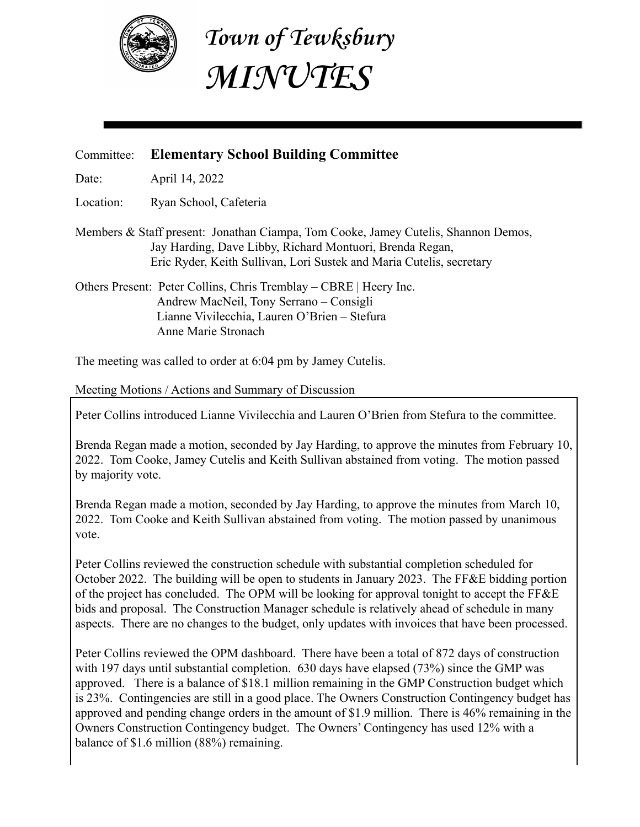

**Town of Tewksbury MINUTES**

## Committee: **Elementary School Building Committee**

Date: April 14, 2022

Location: Ryan School, Cafeteria

Members & Staff present: Jonathan Ciampa, Tom Cooke, Jamey Cutelis, Shannon Demos, Jay Harding, Dave Libby, Richard Montuori, Brenda Regan, Eric Ryder, Keith Sullivan, Lori Sustek and Maria Cutelis, secretary

Others Present: Peter Collins, Chris Tremblay – CBRE | Heery Inc. Andrew MacNeil, Tony Serrano – Consigli Lianne Vivilecchia, Lauren O'Brien – Stefura Anne Marie Stronach

The meeting was called to order at 6:04 pm by Jamey Cutelis.

Meeting Motions / Actions and Summary of Discussion

Peter Collins introduced Lianne Vivilecchia and Lauren O'Brien from Stefura to the committee.

Brenda Regan made a motion, seconded by Jay Harding, to approve the minutes from February 10, 2022. Tom Cooke, Jamey Cutelis and Keith Sullivan abstained from voting. The motion passed by majority vote.

Brenda Regan made a motion, seconded by Jay Harding, to approve the minutes from March 10, 2022. Tom Cooke and Keith Sullivan abstained from voting. The motion passed by unanimous vote.

Peter Collins reviewed the construction schedule with substantial completion scheduled for October 2022. The building will be open to students in January 2023. The FF&E bidding portion of the project has concluded. The OPM will be looking for approval tonight to accept the FF&E bids and proposal. The Construction Manager schedule is relatively ahead of schedule in many aspects. There are no changes to the budget, only updates with invoices that have been processed.

Peter Collins reviewed the OPM dashboard. There have been a total of 872 days of construction with 197 days until substantial completion. 630 days have elapsed (73%) since the GMP was approved. There is a balance of \$18.1 million remaining in the GMP Construction budget which is 23%. Contingencies are still in a good place. The Owners Construction Contingency budget has approved and pending change orders in the amount of \$1.9 million. There is 46% remaining in the Owners Construction Contingency budget. The Owners' Contingency has used 12% with a balance of \$1.6 million (88%) remaining.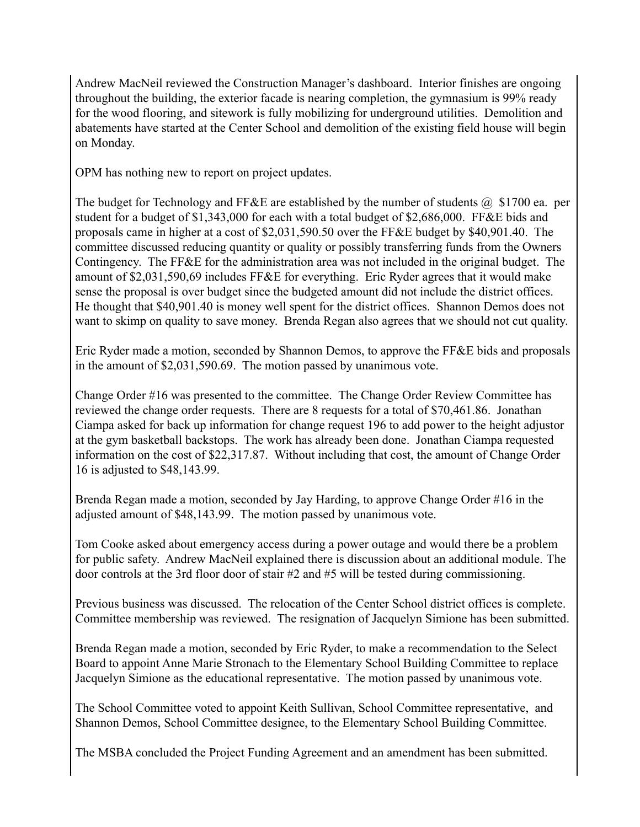Andrew MacNeil reviewed the Construction Manager's dashboard. Interior finishes are ongoing throughout the building, the exterior facade is nearing completion, the gymnasium is 99% ready for the wood flooring, and sitework is fully mobilizing for underground utilities. Demolition and abatements have started at the Center School and demolition of the existing field house will begin on Monday.

OPM has nothing new to report on project updates.

The budget for Technology and FF&E are established by the number of students  $\omega$  \$1700 ea. per student for a budget of \$1,343,000 for each with a total budget of \$2,686,000. FF&E bids and proposals came in higher at a cost of \$2,031,590.50 over the FF&E budget by \$40,901.40. The committee discussed reducing quantity or quality or possibly transferring funds from the Owners Contingency. The FF&E for the administration area was not included in the original budget. The amount of \$2,031,590,69 includes FF&E for everything. Eric Ryder agrees that it would make sense the proposal is over budget since the budgeted amount did not include the district offices. He thought that \$40,901.40 is money well spent for the district offices. Shannon Demos does not want to skimp on quality to save money. Brenda Regan also agrees that we should not cut quality.

Eric Ryder made a motion, seconded by Shannon Demos, to approve the FF&E bids and proposals in the amount of \$2,031,590.69. The motion passed by unanimous vote.

Change Order #16 was presented to the committee. The Change Order Review Committee has reviewed the change order requests. There are 8 requests for a total of \$70,461.86. Jonathan Ciampa asked for back up information for change request 196 to add power to the height adjustor at the gym basketball backstops. The work has already been done. Jonathan Ciampa requested information on the cost of \$22,317.87. Without including that cost, the amount of Change Order 16 is adjusted to \$48,143.99.

Brenda Regan made a motion, seconded by Jay Harding, to approve Change Order #16 in the adjusted amount of \$48,143.99. The motion passed by unanimous vote.

Tom Cooke asked about emergency access during a power outage and would there be a problem for public safety. Andrew MacNeil explained there is discussion about an additional module. The door controls at the 3rd floor door of stair #2 and #5 will be tested during commissioning.

Previous business was discussed. The relocation of the Center School district offices is complete. Committee membership was reviewed. The resignation of Jacquelyn Simione has been submitted.

Brenda Regan made a motion, seconded by Eric Ryder, to make a recommendation to the Select Board to appoint Anne Marie Stronach to the Elementary School Building Committee to replace Jacquelyn Simione as the educational representative. The motion passed by unanimous vote.

The School Committee voted to appoint Keith Sullivan, School Committee representative, and Shannon Demos, School Committee designee, to the Elementary School Building Committee.

The MSBA concluded the Project Funding Agreement and an amendment has been submitted.